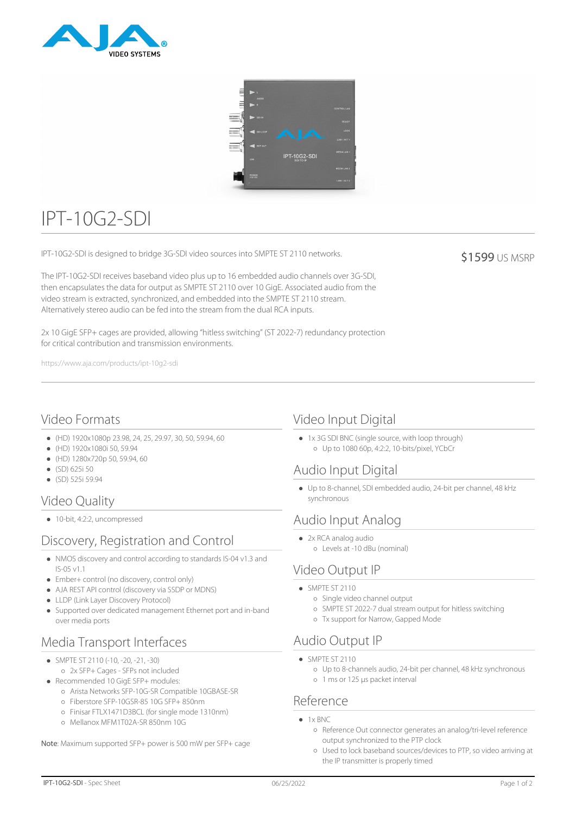



# IPT-10G2-SDI

IPT-10G2-SDI is designed to bridge 3G-SDI video sources into SMPTE ST 2110 networks.

The IPT-10G2-SDI receives baseband video plus up to 16 embedded audio channels over 3G-SDI, then encapsulates the data for output as SMPTE ST 2110 over 10 GigE. Associated audio from the video stream is extracted, synchronized, and embedded into the SMPTE ST 2110 stream. Alternatively stereo audio can be fed into the stream from the dual RCA inputs.

2x 10 GigE SFP+ cages are provided, allowing "hitless switching" (ST 2022-7) redundancy protection for critical contribution and transmission environments.

https://www.aja.com/products/ipt-10g2-sdi

### Video Formats

- (HD) 1920x1080p 23.98, 24, 25, 29.97, 30, 50, 59.94, 60
- (HD) 1920x1080i 50, 59.94
- (HD) 1280x720p 50, 59.94, 60
- (SD) 625i 50
- $(SD)$  525i 59.94

## Video Quality

● 10-bit, 4:2:2, uncompressed

## Discovery, Registration and Control

- NMOS discovery and control according to standards IS-04 v1.3 and IS-05 v1.1
- Ember+ control (no discovery, control only)
- AJA REST API control (discovery via SSDP or MDNS)
- LLDP (Link Layer Discovery Protocol)
- Supported over dedicated management Ethernet port and in-band over media ports

## Media Transport Interfaces

- SMPTE ST 2110 (-10, -20, -21, -30)
- 2x SFP+ Cages SFPs not included Recommended 10 GigE SFP+ modules:
	- Arista Networks SFP-10G-SR Compatible 10GBASE-SR
	- Fiberstore SFP-10GSR-85 10G SFP+ 850nm
	- Finisar FTLX1471D3BCL (for single mode 1310nm)
	- Mellanox MFM1T02A-SR 850nm 10G

Note: Maximum supported SFP+ power is 500 mW per SFP+ cage

### Video Input Digital

1x 3G SDI BNC (single source, with loop through) Up to 1080 60p, 4:2:2, 10-bits/pixel, YCbCr

### Audio Input Digital

Up to 8-channel, SDI embedded audio, 24-bit per channel, 48 kHz synchronous

## Audio Input Analog

- 2x RCA analog audio
	- Levels at -10 dBu (nominal)

## Video Output IP

- $\bullet$  SMPTE ST 2110
	- o Single video channel output
	- SMPTE ST 2022-7 dual stream output for hitless switching
	- Tx support for Narrow, Gapped Mode

### Audio Output IP

- SMPTF ST 2110
	- Up to 8-channels audio, 24-bit per channel, 48 kHz synchronous
	- 1 ms or 125 µs packet interval

#### Reference

- $\bullet$  1  $\times$  BNC
	- Reference Out connector generates an analog/tri-level reference output synchronized to the PTP clock
	- Used to lock baseband sources/devices to PTP, so video arriving at the IP transmitter is properly timed